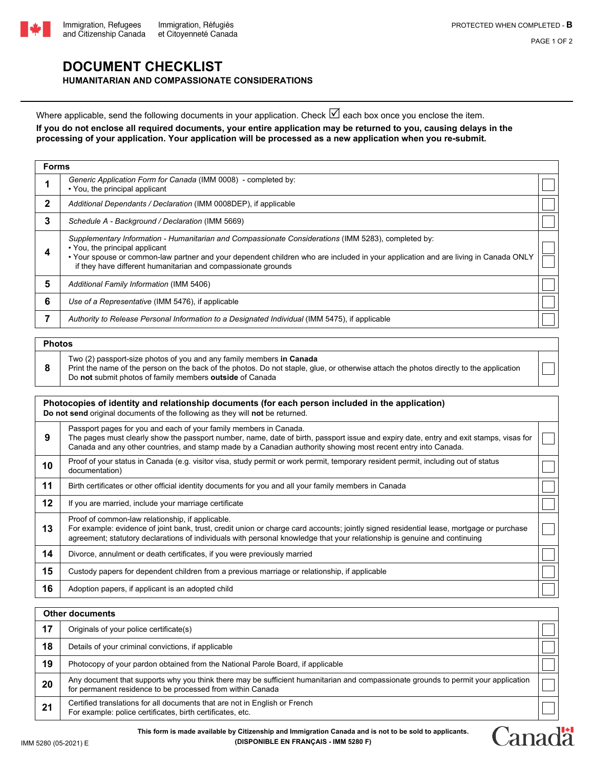

Canadä

## **DOCUMENT CHECKLIST HUMANITARIAN AND COMPASSIONATE CONSIDERATIONS**

Where applicable, send the following documents in your application. Check  $\boxdot$  each box once you enclose the item. **If you do not enclose all required documents, your entire application may be returned to you, causing delays in the processing of your application. Your application will be processed as a new application when you re-submit.**

| <b>Forms</b> |                                                                                                                                                                                                                                                                                                                                              |  |  |  |
|--------------|----------------------------------------------------------------------------------------------------------------------------------------------------------------------------------------------------------------------------------------------------------------------------------------------------------------------------------------------|--|--|--|
|              | Generic Application Form for Canada (IMM 0008) - completed by:<br>• You, the principal applicant                                                                                                                                                                                                                                             |  |  |  |
| $\mathbf{2}$ | Additional Dependants / Declaration (IMM 0008DEP), if applicable                                                                                                                                                                                                                                                                             |  |  |  |
| 3            | Schedule A - Background / Declaration (IMM 5669)                                                                                                                                                                                                                                                                                             |  |  |  |
| 4            | Supplementary Information - Humanitarian and Compassionate Considerations (IMM 5283), completed by:<br>• You, the principal applicant<br>• Your spouse or common-law partner and your dependent children who are included in your application and are living in Canada ONLY<br>if they have different humanitarian and compassionate grounds |  |  |  |
| 5            | Additional Family Information (IMM 5406)                                                                                                                                                                                                                                                                                                     |  |  |  |
| 6            | Use of a Representative (IMM 5476), if applicable                                                                                                                                                                                                                                                                                            |  |  |  |
|              | Authority to Release Personal Information to a Designated Individual (IMM 5475), if applicable                                                                                                                                                                                                                                               |  |  |  |

**Photos 8** Two (2) passport-size photos of you and any family members **in Canada**  Print the name of the person on the back of the photos. Do not staple, glue, or otherwise attach the photos directly to the application Do **not** submit photos of family members **outside** of Canada

| Photocopies of identity and relationship documents (for each person included in the application)<br>Do not send original documents of the following as they will not be returned. |                                                                                                                                                                                                                                                                                                                              |  |  |  |
|-----------------------------------------------------------------------------------------------------------------------------------------------------------------------------------|------------------------------------------------------------------------------------------------------------------------------------------------------------------------------------------------------------------------------------------------------------------------------------------------------------------------------|--|--|--|
| 9                                                                                                                                                                                 | Passport pages for you and each of your family members in Canada.<br>The pages must clearly show the passport number, name, date of birth, passport issue and expiry date, entry and exit stamps, visas for<br>Canada and any other countries, and stamp made by a Canadian authority showing most recent entry into Canada. |  |  |  |
| 10                                                                                                                                                                                | Proof of your status in Canada (e.g. visitor visa, study permit or work permit, temporary resident permit, including out of status<br>documentation)                                                                                                                                                                         |  |  |  |
| 11                                                                                                                                                                                | Birth certificates or other official identity documents for you and all your family members in Canada                                                                                                                                                                                                                        |  |  |  |
| 12                                                                                                                                                                                | If you are married, include your marriage certificate                                                                                                                                                                                                                                                                        |  |  |  |
| 13                                                                                                                                                                                | Proof of common-law relationship, if applicable.<br>For example: evidence of joint bank, trust, credit union or charge card accounts; jointly signed residential lease, mortgage or purchase<br>agreement; statutory declarations of individuals with personal knowledge that your relationship is genuine and continuing    |  |  |  |
| 14                                                                                                                                                                                | Divorce, annulment or death certificates, if you were previously married                                                                                                                                                                                                                                                     |  |  |  |
| 15                                                                                                                                                                                | Custody papers for dependent children from a previous marriage or relationship, if applicable                                                                                                                                                                                                                                |  |  |  |
| 16                                                                                                                                                                                | Adoption papers, if applicant is an adopted child                                                                                                                                                                                                                                                                            |  |  |  |

| <b>Other documents</b> |                                                                                                                                                                                                  |  |  |  |
|------------------------|--------------------------------------------------------------------------------------------------------------------------------------------------------------------------------------------------|--|--|--|
| 17                     | Originals of your police certificate(s)                                                                                                                                                          |  |  |  |
| 18                     | Details of your criminal convictions, if applicable                                                                                                                                              |  |  |  |
| 19                     | Photocopy of your pardon obtained from the National Parole Board, if applicable                                                                                                                  |  |  |  |
| 20                     | Any document that supports why you think there may be sufficient humanitarian and compassionate grounds to permit your application<br>for permanent residence to be processed from within Canada |  |  |  |
| 21                     | Certified translations for all documents that are not in English or French<br>For example: police certificates, birth certificates, etc.                                                         |  |  |  |